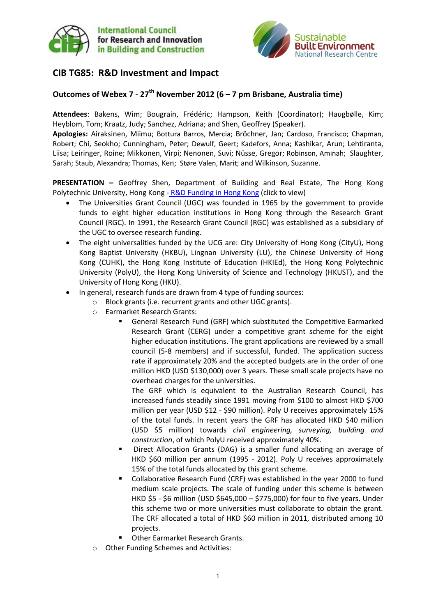



## **CIB TG85: R&D Investment and Impact**

## **Outcomes of Webex 7 - 27th November 2012 (6 – 7 pm Brisbane, Australia time)**

**Attendees**: Bakens, Wim; Bougrain, Frédéric; Hampson, Keith (Coordinator); Haugbølle, Kim; Heyblom, Tom; Kraatz, Judy; Sanchez, Adriana; and Shen, Geoffrey (Speaker).

**Apologies:** Airaksinen, Miimu; Bottura Barros, Mercia; Bröchner, Jan; Cardoso, Francisco; Chapman, Robert; Chi, Seokho; Cunningham, Peter; Dewulf, Geert; Kadefors, Anna; Kashikar, Arun; Lehtiranta, Liisa; Leiringer, Roine; Mikkonen, Virpi; Nenonen, Suvi; Nüsse, Gregor; Robinson, Aminah; Slaughter, Sarah; Staub, Alexandra; Thomas, Ken; Støre Valen, Marit; and Wilkinson, Suzanne.

**PRESENTATION –** Geoffrey Shen, Department of Building and Real Estate, The Hong Kong Polytechnic University, Hong Kong - [R&D Funding in Hong Kong](http://www.sbenrc.com.au/images/stories/shen_geoffrey_november2012.pdf) (click to view)

- The Universities Grant Council (UGC) was founded in 1965 by the government to provide funds to eight higher education institutions in Hong Kong through the Research Grant Council (RGC). In 1991, the Research Grant Council (RGC) was established as a subsidiary of the UGC to oversee research funding.
- The eight universalities funded by the UCG are: City University of Hong Kong (CityU), Hong Kong Baptist University (HKBU), Lingnan University (LU), the Chinese University of Hong Kong (CUHK), the Hong Kong Institute of Education (HKIEd), the Hong Kong Polytechnic University (PolyU), the Hong Kong University of Science and Technology (HKUST), and the University of Hong Kong (HKU).
- In general, research funds are drawn from 4 type of funding sources:
	- Block grants (i.e. recurrent grants and other UGC grants).
	- o Earmarket Research Grants:
		- General Research Fund (GRF) which substituted the Competitive Earmarked Research Grant (CERG) under a competitive grant scheme for the eight higher education institutions. The grant applications are reviewed by a small council (5-8 members) and if successful, funded. The application success rate if approximately 20% and the accepted budgets are in the order of one million HKD (USD \$130,000) over 3 years. These small scale projects have no overhead charges for the universities.

The GRF which is equivalent to the Australian Research Council, has increased funds steadily since 1991 moving from \$100 to almost HKD \$700 million per year (USD \$12 - \$90 million). Poly U receives approximately 15% of the total funds. In recent years the GRF has allocated HKD \$40 million (USD \$5 million) towards *civil engineering, surveying, building and construction*, of which PolyU received approximately 40%.

- Direct Allocation Grants (DAG) is a smaller fund allocating an average of HKD \$60 million per annum (1995 - 2012). Poly U receives approximately 15% of the total funds allocated by this grant scheme.
- Collaborative Research Fund (CRF) was established in the year 2000 to fund medium scale projects. The scale of funding under this scheme is between HKD \$5 - \$6 million (USD \$645,000 – \$775,000) for four to five years. Under this scheme two or more universities must collaborate to obtain the grant. The CRF allocated a total of HKD \$60 million in 2011, distributed among 10 projects.
- Other Earmarket Research Grants.
- Other Funding Schemes and Activities: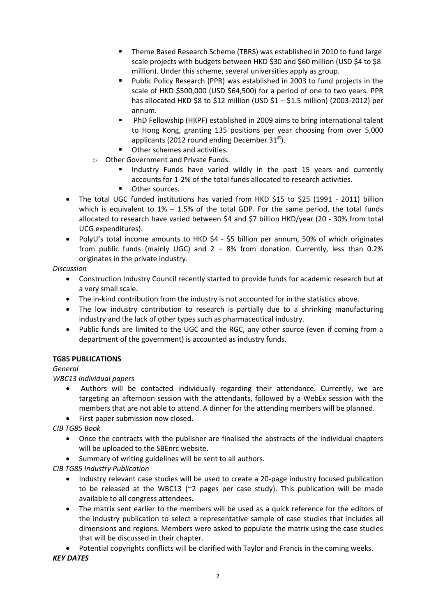- Theme Based Research Scheme (TBRS) was established in 2010 to fund large scale projects with budgets between HKD \$30 and \$60 million (USD \$4 to \$8 million). Under this scheme, several universities apply as group.
- Public Policy Research (PPR) was established in 2003 to fund projects in the scale of HKD \$500,000 (USD \$64,500) for a period of one to two years. PPR has allocated HKD \$8 to \$12 million (USD \$1 – \$1.5 million) (2003-2012) per annum.
- PhD Fellowship (HKPF) established in 2009 aims to bring international talent to Hong Kong, granting 135 positions per year choosing from over 5,000 applicants (2012 round ending December  $31<sup>st</sup>$ ).
- Other schemes and activities.
- o Other Government and Private Funds.
	- Industry Funds have varied wildly in the past 15 years and currently accounts for 1-2% of the total funds allocated to research activities.
	- **•** Other sources.
- The total UGC funded institutions has varied from HKD \$15 to \$25 (1991 2011) billion which is equivalent to  $1\% - 1.5\%$  of the total GDP. For the same period, the total funds allocated to research have varied between \$4 and \$7 billion HKD/year (20 - 30% from total UCG expenditures).
- PolyU's total income amounts to HKD \$4 \$5 billion per annum, 50% of which originates from public funds (mainly UGC) and  $2 - 8%$  from donation. Currently, less than 0.2% originates in the private industry.

*Discussion*

- Construction Industry Council recently started to provide funds for academic research but at a very small scale.
- The in-kind contribution from the industry is not accounted for in the statistics above.
- The low industry contribution to research is partially due to a shrinking manufacturing industry and the lack of other types such as pharmaceutical industry.
- Public funds are limited to the UGC and the RGC, any other source (even if coming from a department of the government) is accounted as industry funds.

#### **TG85 PUBLICATIONS**

*General*

*WBC13 Individual papers*

- Authors will be contacted individually regarding their attendance. Currently, we are targeting an afternoon session with the attendants, followed by a WebEx session with the members that are not able to attend. A dinner for the attending members will be planned.
- First paper submission now closed.

*CIB TG85 Book*

- Once the contracts with the publisher are finalised the abstracts of the individual chapters will be uploaded to the SBEnrc website.
- Summary of writing guidelines will be sent to all authors.

*CIB TG85 Industry Publication*

- Industry relevant case studies will be used to create a 20-page industry focused publication to be released at the WBC13 ( $\approx$  pages per case study). This publication will be made available to all congress attendees.
- The matrix sent earlier to the members will be used as a quick reference for the editors of the industry publication to select a representative sample of case studies that includes all dimensions and regions. Members were asked to populate the matrix using the case studies that will be discussed in their chapter.
- Potential copyrights conflicts will be clarified with Taylor and Francis in the coming weeks.

*KEY DATES*